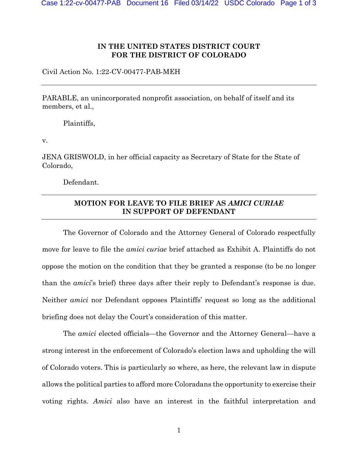## **IN THE UNITED STATES DISTRICT COURT FOR THE DISTRICT OF COLORADO**

Civil Action No. 1:22-CV-00477-PAB-MEH

PARABLE, an unincorporated nonprofit association, on behalf of itself and its members, et al.,

Plaintiffs,

v.

JENA GRISWOLD, in her official capacity as Secretary of State for the State of Colorado,

Defendant.

## **MOTION FOR LEAVE TO FILE BRIEF AS** *AMICI CURIAE*  **IN SUPPORT OF DEFENDANT**

The Governor of Colorado and the Attorney General of Colorado respectfully move for leave to file the *amici curiae* brief attached as Exhibit A. Plaintiffs do not oppose the motion on the condition that they be granted a response (to be no longer than the *amici*'s brief) three days after their reply to Defendant's response is due. Neither *amici* nor Defendant opposes Plaintiffs' request so long as the additional briefing does not delay the Court's consideration of this matter.

The *amici* elected officials—the Governor and the Attorney General—have a strong interest in the enforcement of Colorado's election laws and upholding the will of Colorado voters. This is particularly so where, as here, the relevant law in dispute allows the political parties to afford more Coloradans the opportunity to exercise their voting rights. *Amici* also have an interest in the faithful interpretation and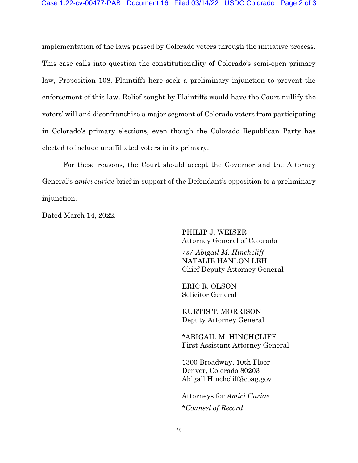implementation of the laws passed by Colorado voters through the initiative process. This case calls into question the constitutionality of Colorado's semi-open primary law, Proposition 108. Plaintiffs here seek a preliminary injunction to prevent the enforcement of this law. Relief sought by Plaintiffs would have the Court nullify the voters' will and disenfranchise a major segment of Colorado voters from participating in Colorado's primary elections, even though the Colorado Republican Party has elected to include unaffiliated voters in its primary.

For these reasons, the Court should accept the Governor and the Attorney General's *amici curiae* brief in support of the Defendant's opposition to a preliminary injunction.

Dated March 14, 2022.

PHILIP J. WEISER Attorney General of Colorado

*/s/ Abigail M. Hinchcliff* NATALIE HANLON LEH Chief Deputy Attorney General

ERIC R. OLSON Solicitor General

KURTIS T. MORRISON Deputy Attorney General

\*ABIGAIL M. HINCHCLIFF First Assistant Attorney General

1300 Broadway, 10th Floor Denver, Colorado 80203 Abigail.Hinchcliff@coag.gov

Attorneys for *Amici Curiae* \**Counsel of Record*